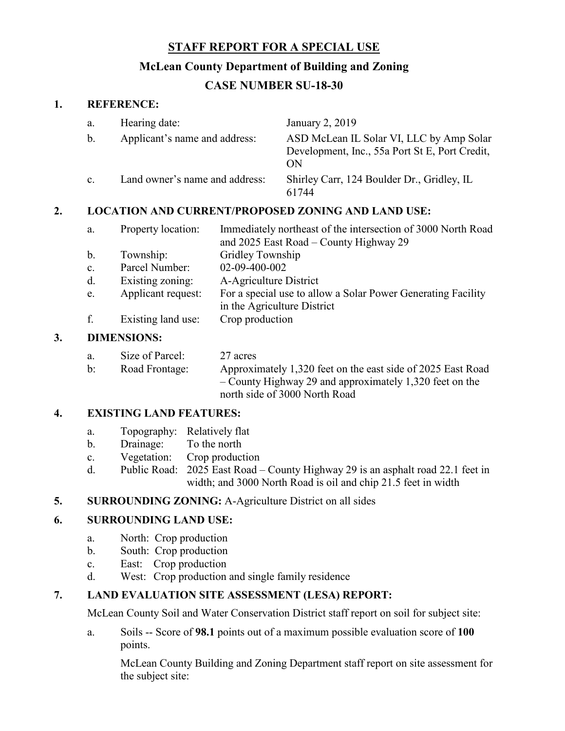# **STAFF REPORT FOR A SPECIAL USE**

## **McLean County Department of Building and Zoning**

# **CASE NUMBER SU-18-30**

### **1. REFERENCE:**

| a.             | Hearing date:                  | January 2, 2019                                                                                  |
|----------------|--------------------------------|--------------------------------------------------------------------------------------------------|
| $\mathbf{b}$ . | Applicant's name and address:  | ASD McLean IL Solar VI, LLC by Amp Solar<br>Development, Inc., 55a Port St E, Port Credit,<br>ON |
| $\mathbf{c}$ . | Land owner's name and address: | Shirley Carr, 124 Boulder Dr., Gridley, IL<br>61744                                              |

## **2. LOCATION AND CURRENT/PROPOSED ZONING AND LAND USE:**

| a.             | Property location: | Immediately northeast of the intersection of 3000 North Road |
|----------------|--------------------|--------------------------------------------------------------|
|                |                    | and 2025 East Road – County Highway 29                       |
| $\mathbf{b}$ . | Township:          | Gridley Township                                             |
| c.             | Parcel Number:     | 02-09-400-002                                                |
| d.             | Existing zoning:   | A-Agriculture District                                       |
| e.             | Applicant request: | For a special use to allow a Solar Power Generating Facility |
|                |                    | in the Agriculture District                                  |
| f.             | Existing land use: | Crop production                                              |

### **3. DIMENSIONS:**

| a.             | Size of Parcel: | 27 acres                                                    |
|----------------|-----------------|-------------------------------------------------------------|
| $\mathbf{b}$ : | Road Frontage:  | Approximately 1,320 feet on the east side of 2025 East Road |
|                |                 | $-$ County Highway 29 and approximately 1,320 feet on the   |
|                |                 | north side of 3000 North Road                               |

## **4. EXISTING LAND FEATURES:**

- a. Topography: Relatively flat
- b. Drainage: To the north
- c. Vegetation: Crop production
- d. Public Road: 2025 East Road County Highway 29 is an asphalt road 22.1 feet in width; and 3000 North Road is oil and chip 21.5 feet in width

### **5. SURROUNDING ZONING:** A-Agriculture District on all sides

## **6. SURROUNDING LAND USE:**

- a. North: Crop production
- b. South: Crop production
- c. East: Crop production
- d. West: Crop production and single family residence

### **7. LAND EVALUATION SITE ASSESSMENT (LESA) REPORT:**

McLean County Soil and Water Conservation District staff report on soil for subject site:

a. Soils -- Score of **98.1** points out of a maximum possible evaluation score of **100** points.

McLean County Building and Zoning Department staff report on site assessment for the subject site: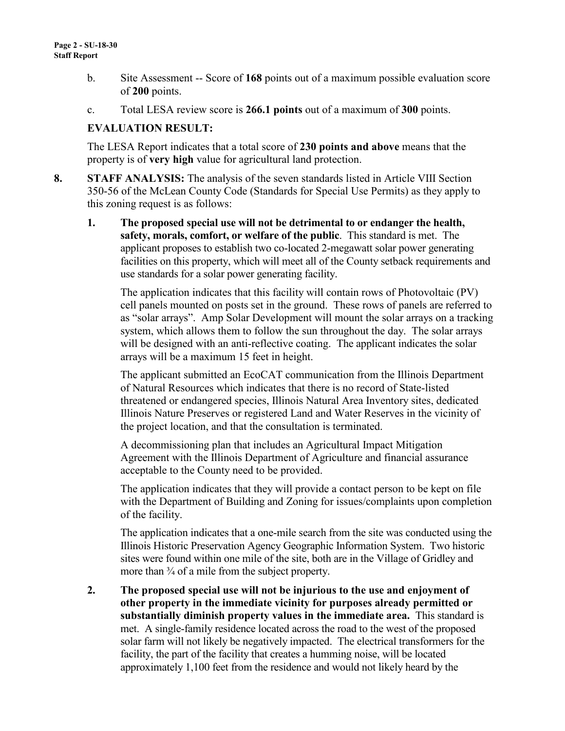- b. Site Assessment -- Score of **168** points out of a maximum possible evaluation score of **200** points.
- c. Total LESA review score is **266.1 points** out of a maximum of **300** points.

### **EVALUATION RESULT:**

The LESA Report indicates that a total score of **230 points and above** means that the property is of **very high** value for agricultural land protection.

- **8. STAFF ANALYSIS:** The analysis of the seven standards listed in Article VIII Section 350-56 of the McLean County Code (Standards for Special Use Permits) as they apply to this zoning request is as follows:
	- **1. The proposed special use will not be detrimental to or endanger the health, safety, morals, comfort, or welfare of the public**. This standard is met. The applicant proposes to establish two co-located 2-megawatt solar power generating facilities on this property, which will meet all of the County setback requirements and use standards for a solar power generating facility.

The application indicates that this facility will contain rows of Photovoltaic (PV) cell panels mounted on posts set in the ground. These rows of panels are referred to as "solar arrays". Amp Solar Development will mount the solar arrays on a tracking system, which allows them to follow the sun throughout the day. The solar arrays will be designed with an anti-reflective coating. The applicant indicates the solar arrays will be a maximum 15 feet in height.

The applicant submitted an EcoCAT communication from the Illinois Department of Natural Resources which indicates that there is no record of State-listed threatened or endangered species, Illinois Natural Area Inventory sites, dedicated Illinois Nature Preserves or registered Land and Water Reserves in the vicinity of the project location, and that the consultation is terminated.

A decommissioning plan that includes an Agricultural Impact Mitigation Agreement with the Illinois Department of Agriculture and financial assurance acceptable to the County need to be provided.

The application indicates that they will provide a contact person to be kept on file with the Department of Building and Zoning for issues/complaints upon completion of the facility.

The application indicates that a one-mile search from the site was conducted using the Illinois Historic Preservation Agency Geographic Information System. Two historic sites were found within one mile of the site, both are in the Village of Gridley and more than  $\frac{3}{4}$  of a mile from the subject property.

**2. The proposed special use will not be injurious to the use and enjoyment of other property in the immediate vicinity for purposes already permitted or substantially diminish property values in the immediate area.** This standard is met. A single-family residence located across the road to the west of the proposed solar farm will not likely be negatively impacted. The electrical transformers for the facility, the part of the facility that creates a humming noise, will be located approximately 1,100 feet from the residence and would not likely heard by the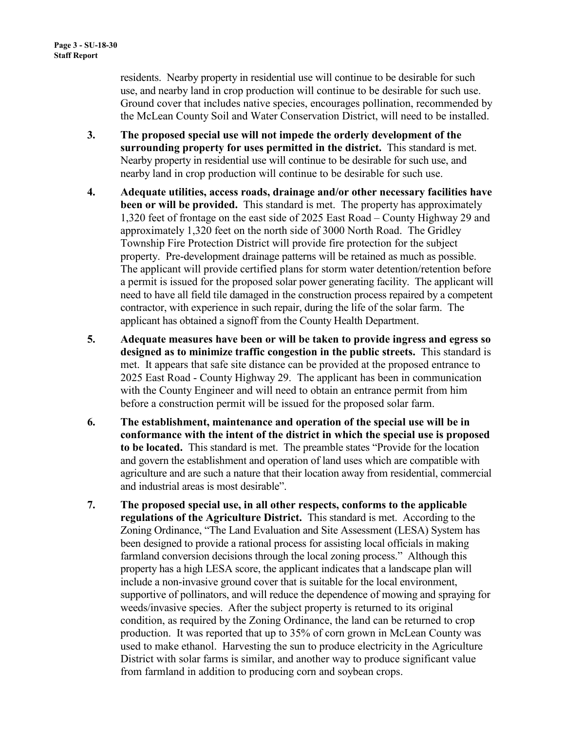residents. Nearby property in residential use will continue to be desirable for such use, and nearby land in crop production will continue to be desirable for such use. Ground cover that includes native species, encourages pollination, recommended by the McLean County Soil and Water Conservation District, will need to be installed.

- **3. The proposed special use will not impede the orderly development of the surrounding property for uses permitted in the district.** This standard is met. Nearby property in residential use will continue to be desirable for such use, and nearby land in crop production will continue to be desirable for such use.
- **4. Adequate utilities, access roads, drainage and/or other necessary facilities have been or will be provided.** This standard is met. The property has approximately 1,320 feet of frontage on the east side of 2025 East Road – County Highway 29 and approximately 1,320 feet on the north side of 3000 North Road. The Gridley Township Fire Protection District will provide fire protection for the subject property. Pre-development drainage patterns will be retained as much as possible. The applicant will provide certified plans for storm water detention/retention before a permit is issued for the proposed solar power generating facility. The applicant will need to have all field tile damaged in the construction process repaired by a competent contractor, with experience in such repair, during the life of the solar farm. The applicant has obtained a signoff from the County Health Department.
- **5. Adequate measures have been or will be taken to provide ingress and egress so designed as to minimize traffic congestion in the public streets.** This standard is met. It appears that safe site distance can be provided at the proposed entrance to 2025 East Road - County Highway 29. The applicant has been in communication with the County Engineer and will need to obtain an entrance permit from him before a construction permit will be issued for the proposed solar farm.
- **6. The establishment, maintenance and operation of the special use will be in conformance with the intent of the district in which the special use is proposed to be located.** This standard is met. The preamble states "Provide for the location and govern the establishment and operation of land uses which are compatible with agriculture and are such a nature that their location away from residential, commercial and industrial areas is most desirable".
- **7. The proposed special use, in all other respects, conforms to the applicable regulations of the Agriculture District.** This standard is met. According to the Zoning Ordinance, "The Land Evaluation and Site Assessment (LESA) System has been designed to provide a rational process for assisting local officials in making farmland conversion decisions through the local zoning process." Although this property has a high LESA score, the applicant indicates that a landscape plan will include a non-invasive ground cover that is suitable for the local environment, supportive of pollinators, and will reduce the dependence of mowing and spraying for weeds/invasive species. After the subject property is returned to its original condition, as required by the Zoning Ordinance, the land can be returned to crop production. It was reported that up to 35% of corn grown in McLean County was used to make ethanol. Harvesting the sun to produce electricity in the Agriculture District with solar farms is similar, and another way to produce significant value from farmland in addition to producing corn and soybean crops.